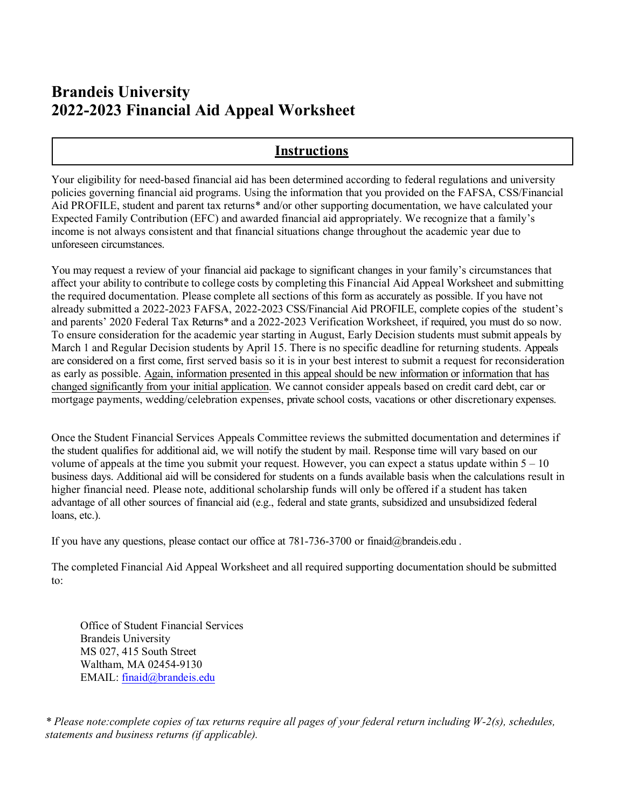## **Brandeis University 2022-2023 Financial Aid Appeal Worksheet**

## **Instructions**

Your eligibility for need-based financial aid has been determined according to federal regulations and university policies governing financial aid programs. Using the information that you provided on the FAFSA, CSS/Financial Aid PROFILE, student and parent tax returns\* and/or other supporting documentation, we have calculated your Expected Family Contribution (EFC) and awarded financial aid appropriately. We recognize that a family's income is not always consistent and that financial situations change throughout the academic year due to unforeseen circumstances.

You may request a review of your financial aid package to significant changes in your family's circumstances that affect your ability to contribute to college costs by completing this Financial Aid Appeal Worksheet and submitting the required documentation. Please complete all sections of this form as accurately as possible. If you have not already submitted a 2022-2023 FAFSA, 2022-2023 CSS/Financial Aid PROFILE, complete copies of the student's and parents' 2020 Federal Tax Returns\* and a 2022-2023 Verification Worksheet, if required, you must do so now. To ensure consideration for the academic year starting in August, Early Decision students must submit appeals by March 1 and Regular Decision students by April 15. There is no specific deadline for returning students. Appeals are considered on a first come, first served basis so it is in your best interest to submit a request for reconsideration as early as possible. Again, information presented in this appeal should be new information or information that has changed significantly from your initial application. We cannot consider appeals based on credit card debt, car or mortgage payments, wedding/celebration expenses, private school costs, vacations or other discretionary expenses.

Once the Student Financial Services Appeals Committee reviews the submitted documentation and determines if the student qualifies for additional aid, we will notify the student by mail. Response time will vary based on our volume of appeals at the time you submit your request. However, you can expect a status update within  $5 - 10$ business days. Additional aid will be considered for students on a funds available basis when the calculations result in higher financial need. Please note, additional scholarship funds will only be offered if a student has taken advantage of all other sources of financial aid (e.g., federal and state grants, subsidized and unsubsidized federal loans, etc.).

If you have any questions, please contact our office at 781-736-3700 or finaid@brandeis.edu .

The completed Financial Aid Appeal Worksheet and all required supporting documentation should be submitted to:

Office of Student Financial Services Brandeis University MS 027, 415 South Street Waltham, MA 02454-9130 EMAIL: finaid@brandeis.edu

*\* Please note:complete copies of tax returns require all pages of your federal return including W-2(s), schedules, statements and business returns (if applicable).*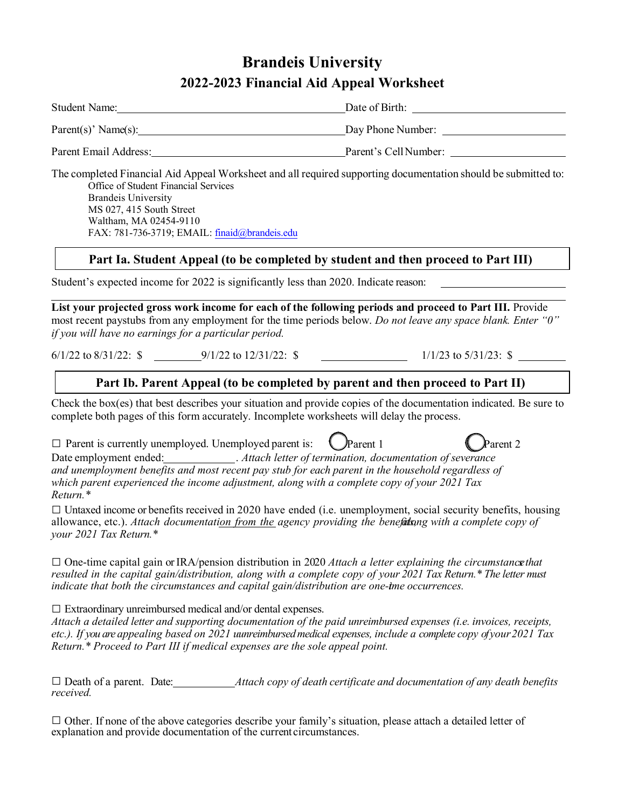# **Brandeis University 2022-2023 Financial Aid Appeal Worksheet**

|                                                                                                                          | Student Name: Name:                                                                                                                              | Date of Birth: New York 1997                                                                                                                                                                                                                                                                                    |
|--------------------------------------------------------------------------------------------------------------------------|--------------------------------------------------------------------------------------------------------------------------------------------------|-----------------------------------------------------------------------------------------------------------------------------------------------------------------------------------------------------------------------------------------------------------------------------------------------------------------|
|                                                                                                                          |                                                                                                                                                  | Parent(s)' Name(s): Day Phone Number:                                                                                                                                                                                                                                                                           |
|                                                                                                                          |                                                                                                                                                  | Parent Email Address: Parent's Cell Number: 2008. [2013] Parent's Cell Number: 2014                                                                                                                                                                                                                             |
| Office of Student Financial Services<br><b>Brandeis University</b><br>MS 027, 415 South Street<br>Waltham, MA 02454-9110 | FAX: 781-736-3719; EMAIL: finaid@brandeis.edu                                                                                                    | The completed Financial Aid Appeal Worksheet and all required supporting documentation should be submitted to:                                                                                                                                                                                                  |
|                                                                                                                          |                                                                                                                                                  | Part Ia. Student Appeal (to be completed by student and then proceed to Part III)                                                                                                                                                                                                                               |
|                                                                                                                          | Student's expected income for 2022 is significantly less than 2020. Indicate reason:                                                             |                                                                                                                                                                                                                                                                                                                 |
| if you will have no earnings for a particular period.                                                                    |                                                                                                                                                  | List your projected gross work income for each of the following periods and proceed to Part III. Provide<br>most recent paystubs from any employment for the time periods below. Do not leave any space blank. Enter "0"                                                                                        |
|                                                                                                                          |                                                                                                                                                  | $1/1/23$ to $5/31/23$ : \$                                                                                                                                                                                                                                                                                      |
|                                                                                                                          |                                                                                                                                                  | Part Ib. Parent Appeal (to be completed by parent and then proceed to Part II)                                                                                                                                                                                                                                  |
|                                                                                                                          | complete both pages of this form accurately. Incomplete worksheets will delay the process.                                                       | Check the box(es) that best describes your situation and provide copies of the documentation indicated. Be sure to                                                                                                                                                                                              |
| Return.*                                                                                                                 | $\Box$ Parent is currently unemployed. Unemployed parent is: $\bigcirc$ Parent 1                                                                 | Parent 2<br>Date employment ended: ______________. Attach letter of termination, documentation of severance<br>and unemployment benefits and most recent pay stub for each parent in the household regardless of<br>which parent experienced the income adjustment, along with a complete copy of your 2021 Tax |
| your 2021 Tax Return.*                                                                                                   |                                                                                                                                                  | $\Box$ Untaxed income or benefits received in 2020 have ended (i.e. unemployment, social security benefits, housing<br>allowance, etc.). Attach documentation from the agency providing the benefailing with a complete copy of                                                                                 |
|                                                                                                                          | indicate that both the circumstances and capital gain/distribution are one-tme occurrences.                                                      | $\Box$ One-time capital gain or IRA/pension distribution in 2020 Attach a letter explaining the circumstance that<br>resulted in the capital gain/distribution, along with a complete copy of your 2021 Tax Return.* The letter must                                                                            |
|                                                                                                                          | $\Box$ Extraordinary unreimbursed medical and/or dental expenses.<br>Return.* Proceed to Part III if medical expenses are the sole appeal point. | Attach a detailed letter and supporting documentation of the paid unreimbursed expenses (i.e. invoices, receipts,<br>etc.). If you are appealing based on 2021 uunreimbursed medical expenses, include a complete copy of your 2021 Tax                                                                         |
| received.                                                                                                                |                                                                                                                                                  | $\Box$ Death of a parent. Date: $\Box$ Attach copy of death certificate and documentation of any death benefits                                                                                                                                                                                                 |

□ Other. If none of the above categories describe your family's situation, please attach a detailed letter of explanation and provide documentation of the current circumstances.